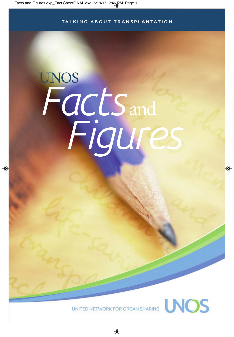#### TALKING ABOUT TRANSPLANTATION

# UNOS *Facts* and *Figures*

UNITED NETWORK FOR ORGAN SHARING NOS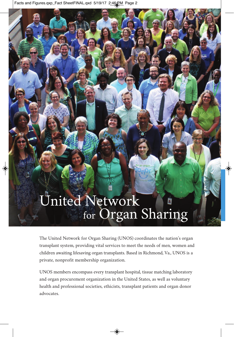Facts and Figures.qxp\_Fact SheetFINAL.qxd 5/19/17 2:46 PM Page 2

# United Network for Organ Sharing

The United Network for Organ Sharing (UNOS) coordinates the nation's organ transplant system, providing vital services to meet the needs of men, women and children awaiting lifesaving organ transplants. Based in Richmond, Va., UNOS is a private, nonprofit membership organization.

UNOS members encompass every transplant hospital, tissue matching laboratory and organ procurement organization in the United States, as well as voluntary health and professional societies, ethicists, transplant patients and organ donor advocates.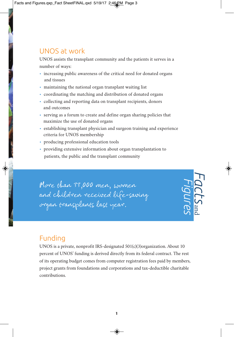## UNOS at work

UNOS assists the transplant community and the patients it serves in a number of ways:

- increasing public awareness of the critical need for donated organs and tissues
- maintaining the national organ transplant waiting list
- coordinating the matching and distribution of donated organs
- collecting and reporting data on transplant recipients, donors and outcomes
- serving as a forum to create and define organ sharing policies that maximize the use of donated organs
- establishing transplant physician and surgeon training and experience criteria for UNOS membership
- producing professional education tools
- providing extensive information about organ transplantation to patients, the public and the transplant community

More than 33,000 men, women and children received life-saving organ transplants last year.

## Funding

UNOS is a private, nonprofit IRS-designated 501(c)(3)organization. About 10 percent of UNOS' funding is derived directly from its federal contract. The rest of its operating budget comes from computer registration fees paid by members, project grants from foundations and corporations and tax-deductible charitable contributions.

*Facts*

and

*Figures*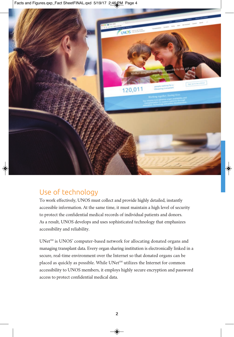Facts and Figures.qxp\_Fact SheetFINAL.qxd 5/19/17 2:46 PM Page 4



## Use of technology

To work effectively, UNOS must collect and provide highly detailed, instantly accessible information. At the same time, it must maintain a high level of security to protect the confidential medical records of individual patients and donors. As a result, UNOS develops and uses sophisticated technology that emphasizes accessibility and reliability.

 $UNet<sup>SM</sup>$  is UNOS' computer-based network for allocating donated organs and managing transplant data. Every organ sharing institution is electronically linked in a secure, real-time environment over the Internet so that donated organs can be placed as quickly as possible. While UNet<sup>SM</sup> utilizes the Internet for common accessibility to UNOS members, it employs highly secure encryption and password access to protect confidential medical data.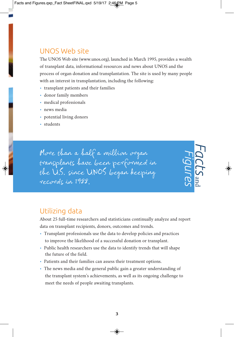## UNOS Web site

The UNOS Web site (www.unos.org), launched in March 1995, provides a wealth of transplant data, informational resources and news about UNOS and the process of organ donation and transplantation. The site is used by many people with an interest in transplantation, including the following:

- transplant patients and their families
- donor family members
- medical professionals
- news media
- potential living donors
- students

More than a half a million organ transplants have been performed in the U.S. since UNOS began keeping records in 1988.

## Utilizing data

About 25 full-time researchers and statisticians continually analyze and report data on transplant recipients, donors, outcomes and trends.

*Facts*

and

*Figures*

- Transplant professionals use the data to develop policies and practices to improve the likelihood of a successful donation or transplant.
- Public health researchers use the data to identify trends that will shape the future of the field.
- Patients and their families can assess their treatment options.
- The news media and the general public gain a greater understanding of the transplant system's achievements, as well as its ongoing challenge to meet the needs of people awaiting transplants.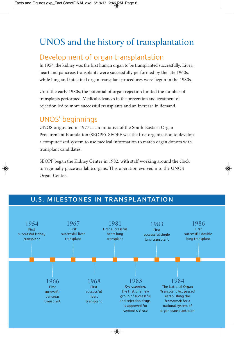# UNOS and the history of transplantation

## Development of organ transplantation

In 1954, the kidney was the first human organ to be transplanted successfully. Liver, heart and pancreas transplants were successfully performed by the late 1960s, while lung and intestinal organ transplant procedures were begun in the 1980s.

Until the early 1980s, the potential of organ rejection limited the number of transplants performed. Medical advances in the prevention and treatment of rejection led to more successful transplants and an increase in demand.

## UNOS' beginnings

UNOS originated in 1977 as an initiative of the South-Eastern Organ Procurement Foundation (SEOPF). SEOPF was the first organization to develop a computerized system to use medical information to match organ donors with transplant candidates.

SEOPF began the Kidney Center in 1982, with staff working around the clock to regionally place available organs. This operation evolved into the UNOS Organ Center.

## U.S. MILESTONES IN TRANSPLANTATION

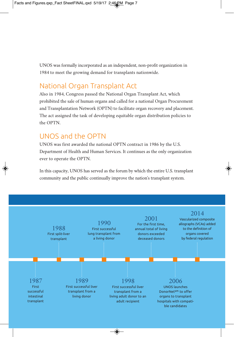UNOS was formally incorporated as an independent, non-profit organization in 1984 to meet the growing demand for transplants nationwide.

## National Organ Transplant Act

Also in 1984, Congress passed the National Organ Transplant Act, which prohibited the sale of human organs and called for a national Organ Procurement and Transplantation Network (OPTN) to facilitate organ recovery and placement. The act assigned the task of developing equitable organ distribution policies to the OPTN.

## UNOS and the OPTN

UNOS was first awarded the national OPTN contract in 1986 by the U.S. Department of Health and Human Services. It continues as the only organization ever to operate the OPTN.

In this capacity, UNOS has served as the forum by which the entire U.S. transplant community and the public continually improve the nation's transplant system.

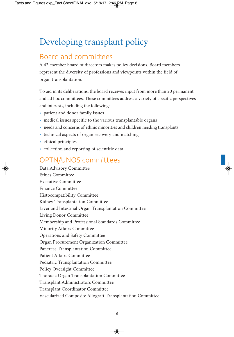# Developing transplant policy

## Board and committees

A 42-member board of directors makes policy decisions. Board members represent the diversity of professions and viewpoints within the field of organ transplantation.

To aid in its deliberations, the board receives input from more than 20 permanent and ad hoc committees. These committees address a variety of specific perspectives and interests, including the following:

- patient and donor family issues
- medical issues specific to the various transplantable organs
- needs and concerns of ethnic minorities and children needing transplants
- technical aspects of organ recovery and matching
- ethical principles
- collection and reporting of scientific data

## OPTN/UNOS committees

Data Advisory Committee Ethics Committee Executive Committee Finance Committee Histocompatibility Committee Kidney Transplantation Committee Liver and Intestinal Organ Transplantation Committee Living Donor Committee Membership and Professional Standards Committee Minority Affairs Committee Operations and Safety Committee Organ Procurement Organization Committee Pancreas Transplantation Committee Patient Affairs Committee Pediatric Transplantation Committee Policy Oversight Committee Thoracic Organ Transplantation Committee Transplant Administrators Committee Transplant Coordinator Committee Vascularized Composite Allograft Transplantation Committee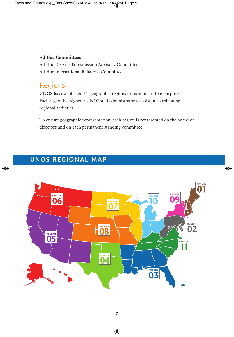#### **Ad Hoc Committees**

Ad Hoc Disease Transmission Advisory Committee Ad Hoc International Relations Committee

### Regions

UNOS has established 11 geographic regions for administrative purposes. Each region is assigned a UNOS staff administrator to assist in coordinating regional activities.

To ensure geographic representation, each region is represented on the board of directors and on each permanent standing committee.

## UNOS REGIONAL MAP

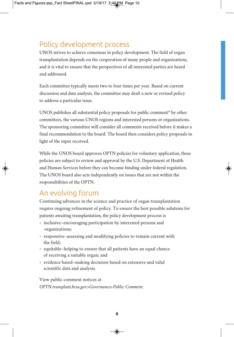## Policy development process

UNOS strives to achieve consensus in policy development. The field of organ transplantation depends on the cooperation of many people and organizations, and it is vital to ensure that the perspectives of all interested parties are heard and addressed.

Each committee typically meets two to four times per year. Based on current discussion and data analysis, the committee may draft a new or revised policy to address a particular issue.

UNOS publishes all substantial policy proposals for public comment\* by other committees, the various UNOS regions and interested persons or organizations. The sponsoring committee will consider all comments received before it makes a final recommendation to the board. The board then considers policy proposals in light of the input received.

While the UNOS board approves OPTN policies for voluntary application, these policies are subject to review and approval by the U.S. Department of Health and Human Services before they can become binding under federal regulation. The UNOS board also acts independently on issues that are not within the responsibilities of the OPTN.

## An evolving forum

Continuing advances in the science and practice of organ transplantation require ongoing refinement of policy. To ensure the best possible solutions for patients awaiting transplantation, the policy development process is

- inclusive–encouraging participation by interested persons and organizations;
- responsive–assessing and modifying policies to remain current with the field;
- equitable–helping to ensure that all patients have an equal chance of receiving a suitable organ; and
- evidence based–making decisions based on extensive and valid scientific data and analysis.

View public comment notices at *OPTN.transplant.hrsa.gov>Governance>Public Comment.*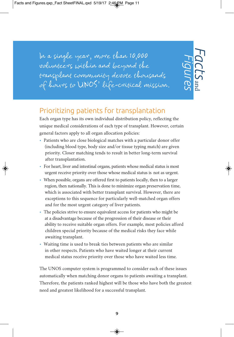In a single year, more than 10,000 volunteers within and beyond the transplant community devote thousands of hours to UNOS' life-critical mission.

*Facts* and *Figures*

## Prioritizing patients for transplantation

Each organ type has its own individual distribution policy, reflecting the unique medical considerations of each type of transplant. However, certain general factors apply to all organ allocation policies:

- Patients who are close biological matches with a particular donor offer (including blood type, body size and/or tissue typing match) are given priority. Closer matching tends to result in better long-term survival after transplantation.
- For heart, liver and intestinal organs, patients whose medical status is most urgent receive priority over those whose medical status is not as urgent.
- When possible, organs are offered first to patients locally, then to a larger region, then nationally. This is done to minimize organ preservation time, which is associated with better transplant survival. However, there are exceptions to this sequence for particularly well-matched organ offers and for the most urgent category of liver patients.
- The policies strive to ensure equivalent access for patients who might be at a disadvantage because of the progression of their disease or their ability to receive suitable organ offers. For example, most policies afford children special priority because of the medical risks they face while awaiting transplant.
- Waiting time is used to break ties between patients who are similar in other respects. Patients who have waited longer at their current medical status receive priority over those who have waited less time.

The UNOS computer system is programmed to consider each of these issues automatically when matching donor organs to patients awaiting a transplant. Therefore, the patients ranked highest will be those who have both the greatest need and greatest likelihood for a successful transplant.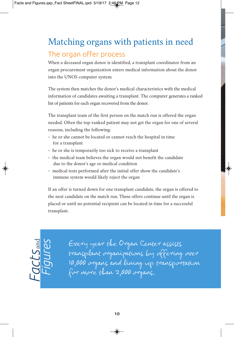# Matching organs with patients in need The organ offer process

When a deceased organ donor is identified, a transplant coordinator from an organ procurement organization enters medical information about the donor into the UNOS computer system.

The system then matches the donor's medical characteristics with the medical information of candidates awaiting a transplant. The computer generates a ranked list of patients for each organ recovered from the donor.

The transplant team of the first person on the match run is offered the organ needed. Often the top-ranked patient may not get the organ for one of several reasons, including the following:

- he or she cannot be located or cannot reach the hospital in time for a transplant
- he or she is temporarily too sick to receive a transplant
- the medical team believes the organ would not benefit the candidate due to the donor's age or medical condition
- medical tests performed after the initial offer show the candidate's immune system would likely reject the organ

If an offer is turned down for one transplant candidate, the organ is offered to the next candidate on the match run. These offers continue until the organ is placed or until no potential recipient can be located in time for a successful transplant.



Every year the Organ Center assists transplant organizations by offering over 10,000 organs and lining up transportation for more than 2,000 organs.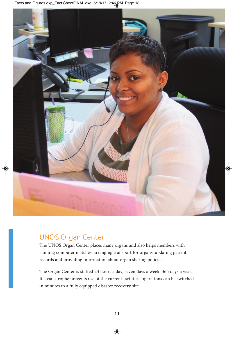Facts and Figures.qxp\_Fact SheetFINAL.qxd 5/19/17 2:46 PM Page 13



## UNOS Organ Center

The UNOS Organ Center places many organs and also helps members with running computer matches, arranging transport for organs, updating patient records and providing information about organ sharing policies.

The Organ Center is staffed 24 hours a day, seven days a week, 365 days a year. If a catastrophe prevents use of the current facilities, operations can be switched in minutes to a fully equipped disaster recovery site.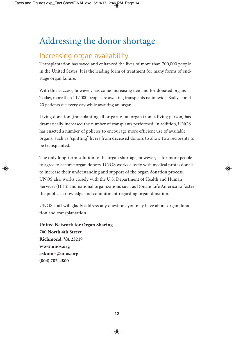# Addressing the donor shortage

## Increasing organ availability

Transplantation has saved and enhanced the lives of more than 700,000 people in the United States. It is the leading form of treatment for many forms of endstage organ failure.

With this success, however, has come increasing demand for donated organs. Today, more than 117,000 people are awaiting transplants nationwide. Sadly, about 20 patients die every day while awaiting an organ.

Living donation (transplanting all or part of an organ from a living person) has dramatically increased the number of transplants performed. In addition, UNOS has enacted a number of policies to encourage more efficient use of available organs, such as "splitting" livers from deceased donors to allow two recipients to be transplanted.

The only long-term solution to the organ shortage, however, is for more people to agree to become organ donors. UNOS works closely with medical professionals to increase their understanding and support of the organ donation process. UNOS also works closely with the U.S. Department of Health and Human Services (HHS) and national organizations such as Donate Life America to foster the public's knowledge and commitment regarding organ donation.

UNOS staff will gladly address any questions you may have about organ donation and transplantation.

**United Network for Organ Sharing 700 North 4th Street Richmond, VA 23219 www.unos.org askunos@unos.org (804) 782-4800**

12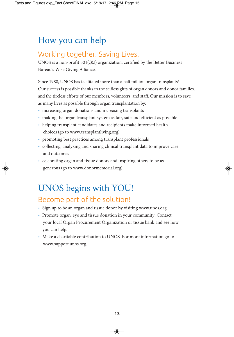## How you can help

## Working together. Saving Lives.

UNOS is a non-profit 501(c)(3) organization, certified by the Better Business Bureau's Wise Giving Alliance.

Since 1988, UNOS has facilitated more than a half million organ transplants! Our success is possible thanks to the selfless gifts of organ donors and donor families, and the tireless efforts of our members, volunteers, and staff. Our mission is to save as many lives as possible through organ transplantation by:

- increasing organ donations and increasing transplants
- making the organ transplant system as fair, safe and efficient as possible
- helping transplant candidates and recipients make informed health choices (go to www.transplantliving.org)
- promoting best practices among transplant professionals
- collecting, analyzing and sharing clinical transplant data to improve care and outcomes
- celebrating organ and tissue donors and inspiring others to be as generous (go to www.donormemorial.org)

# UNOS begins with YOU!

## Become part of the solution!

- Sign up to be an organ and tissue donor by visiting www.unos.org.
- Promote organ, eye and tissue donation in your community. Contact your local Organ Procurement Organization or tissue bank and see how you can help.
- Make a charitable contribution to UNOS. For more information go to www.support.unos.org.